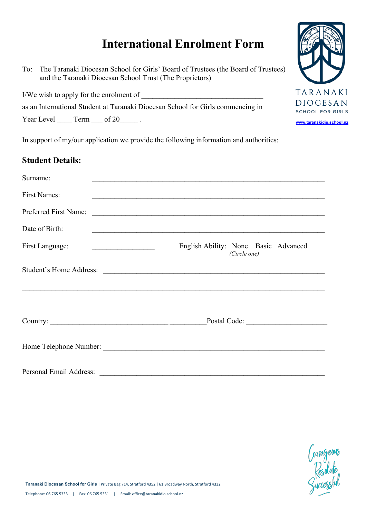# **International Enrolment Form**

To: The Taranaki Diocesan School for Girls' Board of Trustees (the Board of Trustees) and the Taranaki Diocesan School Trust (The Proprietors)

I/We wish to apply for the enrolment of

as an International Student at Taranaki Diocesan School for Girls commencing in

Year Level  $\frac{\text{Term} \text{ form}}{\text{Term} \text{ or } 20}$ .

In support of my/our application we provide the following information and authorities:

#### **Student Details:**

| Surname:                                                                                                                                                                                                                                                                                                                                                                                                    | <u> 1989 - Johann Barn, amerikan berkema dalam penyanyi dan berkema dalam penyanyi dan berkema dalam pengaran dala</u> |
|-------------------------------------------------------------------------------------------------------------------------------------------------------------------------------------------------------------------------------------------------------------------------------------------------------------------------------------------------------------------------------------------------------------|------------------------------------------------------------------------------------------------------------------------|
| <b>First Names:</b>                                                                                                                                                                                                                                                                                                                                                                                         | <u> 1989 - Johann Harry Harry Harry Harry Harry Harry Harry Harry Harry Harry Harry Harry Harry Harry Harry Harry</u>  |
| Preferred First Name:                                                                                                                                                                                                                                                                                                                                                                                       | <u> 2000 - 2000 - 2000 - 2000 - 2000 - 2000 - 2000 - 2000 - 2000 - 2000 - 2000 - 2000 - 2000 - 2000 - 2000 - 200</u>   |
| Date of Birth:                                                                                                                                                                                                                                                                                                                                                                                              | <u> 1989 - Johann John Stone, Amerikaansk politiker (d. 1989)</u>                                                      |
| First Language:                                                                                                                                                                                                                                                                                                                                                                                             | English Ability: None Basic Advanced<br>(Circle one)                                                                   |
|                                                                                                                                                                                                                                                                                                                                                                                                             | Student's Home Address:                                                                                                |
| Country: $\frac{1}{\sqrt{1-\frac{1}{2}}\sqrt{1-\frac{1}{2}}\sqrt{1-\frac{1}{2}}\sqrt{1-\frac{1}{2}}\sqrt{1-\frac{1}{2}}\sqrt{1-\frac{1}{2}}\sqrt{1-\frac{1}{2}}\sqrt{1-\frac{1}{2}}\sqrt{1-\frac{1}{2}}\sqrt{1-\frac{1}{2}}\sqrt{1-\frac{1}{2}}\sqrt{1-\frac{1}{2}}\sqrt{1-\frac{1}{2}}\sqrt{1-\frac{1}{2}}\sqrt{1-\frac{1}{2}}\sqrt{1-\frac{1}{2}}\sqrt{1-\frac{1}{2}}\sqrt{1-\frac{1}{2}}\sqrt{1-\frac{1$ |                                                                                                                        |
|                                                                                                                                                                                                                                                                                                                                                                                                             |                                                                                                                        |
| Personal Email Address:                                                                                                                                                                                                                                                                                                                                                                                     |                                                                                                                        |



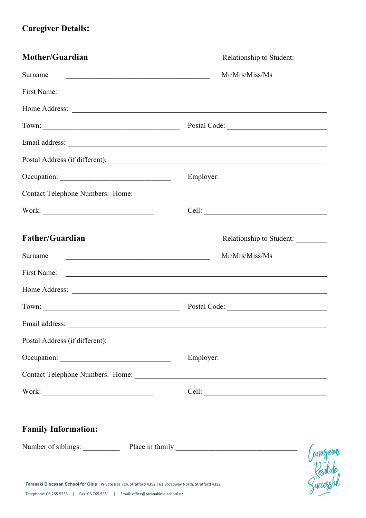# **Caregiver Details:**

| Mother/Guardian                                                                                                                                                                             | Relationship to Student:                                                                                                                                                                                                       |  |  |
|---------------------------------------------------------------------------------------------------------------------------------------------------------------------------------------------|--------------------------------------------------------------------------------------------------------------------------------------------------------------------------------------------------------------------------------|--|--|
| Surname<br><u> 2008 - Jan Barbara (h. 1888).</u>                                                                                                                                            | Mr/Mrs/Miss/Ms                                                                                                                                                                                                                 |  |  |
| First Name:                                                                                                                                                                                 | <u> Alexandria de la contrada de la contrada de la contrada de la contrada de la contrada de la contrada de la c</u>                                                                                                           |  |  |
|                                                                                                                                                                                             | Home Address: New York Changes and the Marian Changes of the Marian Changes and the Marian Changes of the Marian Changes and the Marian Changes of the Marian Changes and the Marian Changes of the Marian Changes and the Mar |  |  |
|                                                                                                                                                                                             |                                                                                                                                                                                                                                |  |  |
|                                                                                                                                                                                             |                                                                                                                                                                                                                                |  |  |
|                                                                                                                                                                                             |                                                                                                                                                                                                                                |  |  |
|                                                                                                                                                                                             |                                                                                                                                                                                                                                |  |  |
|                                                                                                                                                                                             |                                                                                                                                                                                                                                |  |  |
|                                                                                                                                                                                             |                                                                                                                                                                                                                                |  |  |
| Father/Guardian                                                                                                                                                                             | Relationship to Student:                                                                                                                                                                                                       |  |  |
| Surname<br><u> 1980 - Jan Barbara, martin da basar da basar da basar da basar da basar da basar da basar da basar da basar</u>                                                              | Mr/Mrs/Miss/Ms                                                                                                                                                                                                                 |  |  |
| First Name:                                                                                                                                                                                 | <u> 1989 - Johann Barnett, fransk politiker (d. 1989)</u>                                                                                                                                                                      |  |  |
|                                                                                                                                                                                             | Home Address: New York Changes and Separate Separate Separate Separate Separate Separate Separate Separate Separate Separate Separate Separate Separate Separate Separate Separate Separate Separate Separate Separate Separat |  |  |
|                                                                                                                                                                                             |                                                                                                                                                                                                                                |  |  |
| Email address:                                                                                                                                                                              |                                                                                                                                                                                                                                |  |  |
|                                                                                                                                                                                             |                                                                                                                                                                                                                                |  |  |
|                                                                                                                                                                                             |                                                                                                                                                                                                                                |  |  |
|                                                                                                                                                                                             |                                                                                                                                                                                                                                |  |  |
|                                                                                                                                                                                             | Cell:                                                                                                                                                                                                                          |  |  |
| <b>Family Information:</b>                                                                                                                                                                  |                                                                                                                                                                                                                                |  |  |
| Number of siblings: Place in family                                                                                                                                                         |                                                                                                                                                                                                                                |  |  |
| Taranaki Diocesan School for Girls   Private Bag 714, Stratford 4352   61 Broadway North, Stratford 4332<br>Telephone: 06 765 5333   Fax: 06 765 5331   Email: office@taranakidio.school.nz | Courageous<br>Resolute<br>Guccessful                                                                                                                                                                                           |  |  |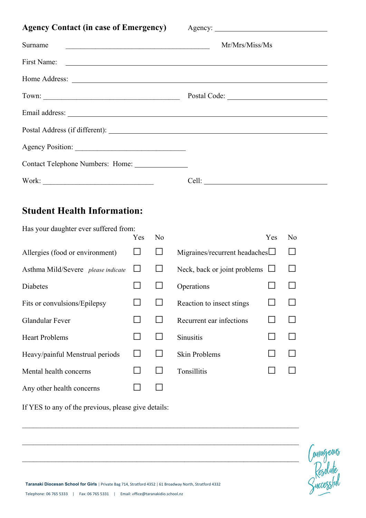|  |  | <b>Agency Contact (in case of Emergency)</b> |
|--|--|----------------------------------------------|
|  |  |                                              |

Agency:

| Surname                          | Mr/Mrs/Miss/Ms |
|----------------------------------|----------------|
|                                  |                |
|                                  |                |
|                                  |                |
|                                  |                |
|                                  |                |
|                                  |                |
| Contact Telephone Numbers: Home: |                |
|                                  |                |

# **Student Health Information:**

| Has your daughter ever suffered from: |            |                |                               |                |
|---------------------------------------|------------|----------------|-------------------------------|----------------|
|                                       | <b>Yes</b> | N <sub>0</sub> | Yes                           | N <sub>0</sub> |
| Allergies (food or environment)       |            |                | Migraines/recurrent headaches |                |
| Asthma Mild/Severe please indicate    |            |                | Neck, back or joint problems  |                |
| <b>Diabetes</b>                       |            |                | Operations                    |                |
| Fits or convulsions/Epilepsy          |            |                | Reaction to insect stings     |                |
| <b>Glandular Fever</b>                |            |                | Recurrent ear infections      |                |
| <b>Heart Problems</b>                 |            |                | <b>Sinusitis</b>              |                |
| Heavy/painful Menstrual periods       |            |                | <b>Skin Problems</b>          |                |
| Mental health concerns                |            |                | Tonsillitis                   |                |
| Any other health concerns             |            |                |                               |                |

 $\mathcal{L}_\text{max} = \frac{1}{2} \sum_{i=1}^n \mathcal{L}_\text{max}(\mathbf{z}_i - \mathbf{z}_i)$ 

 $\mathcal{L}_\mathcal{L} = \{ \mathcal{L}_\mathcal{L} = \{ \mathcal{L}_\mathcal{L} = \{ \mathcal{L}_\mathcal{L} = \{ \mathcal{L}_\mathcal{L} = \{ \mathcal{L}_\mathcal{L} = \{ \mathcal{L}_\mathcal{L} = \{ \mathcal{L}_\mathcal{L} = \{ \mathcal{L}_\mathcal{L} = \{ \mathcal{L}_\mathcal{L} = \{ \mathcal{L}_\mathcal{L} = \{ \mathcal{L}_\mathcal{L} = \{ \mathcal{L}_\mathcal{L} = \{ \mathcal{L}_\mathcal{L} = \{ \mathcal{L}_\mathcal{$ 

 $\mathcal{L}_\text{max} = \frac{1}{2} \sum_{i=1}^n \mathcal{L}_\text{max}(\mathbf{z}_i - \mathbf{z}_i)$ 

If YES to any of the previous, please give details:



Taranaki Diocesan School for Girls | Private Bag 714, Stratford 4352 | 61 Broadway North, Stratford 4332 Telephone: 06 765 5333 | Fax: 06 765 5331 | Email: office@taranakidio.school.nz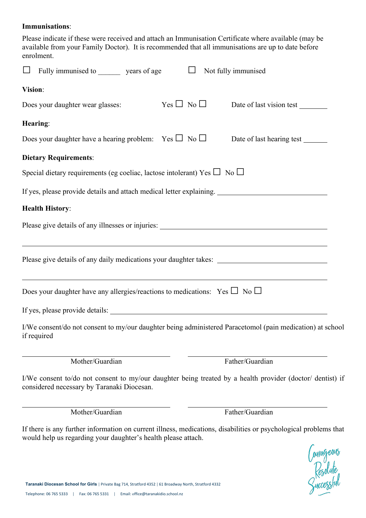#### **Immunisations**:

Please indicate if these were received and attach an Immunisation Certificate where available (may be available from your Family Doctor). It is recommended that all immunisations are up to date before enrolment.

| Fully immunised to _________ years of age                                                                                                                                                                                     |                    | Not fully immunised                                                                                       |
|-------------------------------------------------------------------------------------------------------------------------------------------------------------------------------------------------------------------------------|--------------------|-----------------------------------------------------------------------------------------------------------|
| Vision:                                                                                                                                                                                                                       |                    |                                                                                                           |
| Does your daughter wear glasses:                                                                                                                                                                                              | $Yes \Box No \Box$ | Date of last vision test                                                                                  |
| Hearing:                                                                                                                                                                                                                      |                    |                                                                                                           |
| Does your daughter have a hearing problem: Yes $\Box$ No $\Box$                                                                                                                                                               |                    | Date of last hearing test ________                                                                        |
| <b>Dietary Requirements:</b>                                                                                                                                                                                                  |                    |                                                                                                           |
| Special dietary requirements (eg coeliac, lactose intolerant) Yes $\Box$ No $\Box$                                                                                                                                            |                    |                                                                                                           |
|                                                                                                                                                                                                                               |                    |                                                                                                           |
| <b>Health History:</b>                                                                                                                                                                                                        |                    |                                                                                                           |
|                                                                                                                                                                                                                               |                    |                                                                                                           |
| <u> 1989 - Johann Stoff, deutscher Stoffen und der Stoffen und der Stoffen und der Stoffen und der Stoffen und de</u><br>Please give details of any daily medications your daughter takes: __________________________________ |                    |                                                                                                           |
| Does your daughter have any allergies/reactions to medications: Yes $\Box$ No $\Box$                                                                                                                                          |                    |                                                                                                           |
|                                                                                                                                                                                                                               |                    |                                                                                                           |
| if required                                                                                                                                                                                                                   |                    | I/We consent/do not consent to my/our daughter being administered Paracetomol (pain medication) at school |
| Mother/Guardian                                                                                                                                                                                                               |                    | Father/Guardian                                                                                           |
| considered necessary by Taranaki Diocesan.                                                                                                                                                                                    |                    | I/We consent to/do not consent to my/our daughter being treated by a health provider (doctor/ dentist) if |
| Mother/Guardian                                                                                                                                                                                                               |                    | Father/Guardian                                                                                           |

If there is any further information on current illness, medications, disabilities or psychological problems that would help us regarding your daughter's health please attach.

Courageous<br>Resolute<br>Successful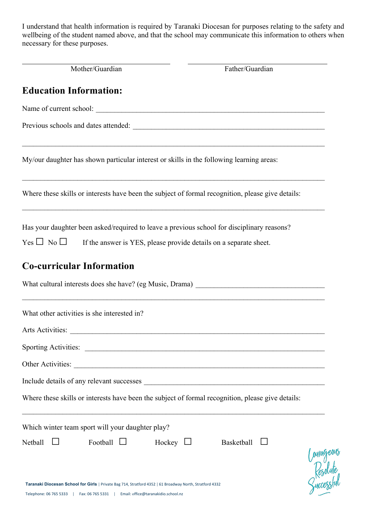I understand that health information is required by Taranaki Diocesan for purposes relating to the safety and wellbeing of the student named above, and that the school may communicate this information to others when necessary for these purposes.

| Mother/Guardian                                                                                                                                                                             | Father/Guardian                                                                   |
|---------------------------------------------------------------------------------------------------------------------------------------------------------------------------------------------|-----------------------------------------------------------------------------------|
| <b>Education Information:</b>                                                                                                                                                               |                                                                                   |
|                                                                                                                                                                                             |                                                                                   |
|                                                                                                                                                                                             |                                                                                   |
| My/our daughter has shown particular interest or skills in the following learning areas:                                                                                                    |                                                                                   |
| Where these skills or interests have been the subject of formal recognition, please give details:                                                                                           |                                                                                   |
| Has your daughter been asked/required to leave a previous school for disciplinary reasons?                                                                                                  |                                                                                   |
| Yes $\Box$ No $\Box$ If the answer is YES, please provide details on a separate sheet.                                                                                                      |                                                                                   |
| <b>Co-curricular Information</b>                                                                                                                                                            |                                                                                   |
|                                                                                                                                                                                             | What cultural interests does she have? (eg Music, Drama) ________________________ |
| What other activities is she interested in?                                                                                                                                                 |                                                                                   |
| Arts Activities:                                                                                                                                                                            |                                                                                   |
|                                                                                                                                                                                             |                                                                                   |
|                                                                                                                                                                                             |                                                                                   |
|                                                                                                                                                                                             |                                                                                   |
| Where these skills or interests have been the subject of formal recognition, please give details:                                                                                           |                                                                                   |
| Which winter team sport will your daughter play?                                                                                                                                            |                                                                                   |
| Football<br>Netball                                                                                                                                                                         | Hockey $\Box$<br>Basketball<br>Courageous<br>Resolute<br>Successful               |
| Taranaki Diocesan School for Girls   Private Bag 714, Stratford 4352   61 Broadway North, Stratford 4332<br>Telephone: 06 765 5333   Fax: 06 765 5331   Email: office@taranakidio.school.nz |                                                                                   |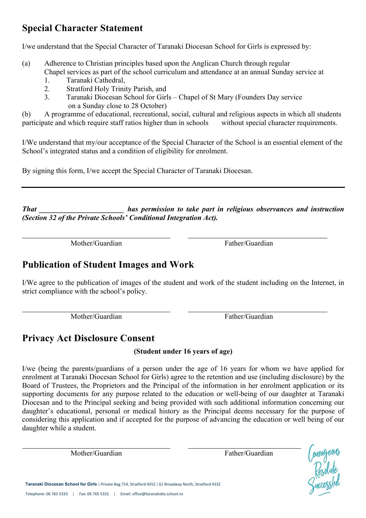# **Special Character Statement**

I/we understand that the Special Character of Taranaki Diocesan School for Girls is expressed by:

- (a) Adherence to Christian principles based upon the Anglican Church through regular Chapel services as part of the school curriculum and attendance at an annual Sunday service at
	- 1. Taranaki Cathedral,
	- 2. Stratford Holy Trinity Parish, and
	- 3. Taranaki Diocesan School for Girls Chapel of St Mary (Founders Day service on a Sunday close to 28 October)

(b) A programme of educational, recreational, social, cultural and religious aspects in which all students participate and which require staff ratios higher than in schools without special character requirements.

I/We understand that my/our acceptance of the Special Character of the School is an essential element of the School's integrated status and a condition of eligibility for enrolment.

By signing this form, I/we accept the Special Character of Taranaki Diocesan.

*That \_\_\_\_\_\_\_\_\_\_\_\_\_\_\_\_\_\_\_\_\_\_\_ has permission to take part in religious observances and instruction (Section 32 of the Private Schools' Conditional Integration Act).*

Mother/Guardian Father/Guardian

l

l

## **Publication of Student Images and Work**

I/We agree to the publication of images of the student and work of the student including on the Internet, in strict compliance with the school's policy.

Mother/Guardian Father/Guardian

### **Privacy Act Disclosure Consent**

#### **(Student under 16 years of age)**

I/we (being the parents/guardians of a person under the age of 16 years for whom we have applied for enrolment at Taranaki Diocesan School for Girls) agree to the retention and use (including disclosure) by the Board of Trustees, the Proprietors and the Principal of the information in her enrolment application or its supporting documents for any purpose related to the education or well-being of our daughter at Taranaki Diocesan and to the Principal seeking and being provided with such additional information concerning our daughter's educational, personal or medical history as the Principal deems necessary for the purpose of considering this application and if accepted for the purpose of advancing the education or well being of our daughter while a student.

Mother/Guardian Father/Guardian

Courageous<br>Resolute<br>*Quressful* 

**Taranaki Diocesan School for Girls | Private Bag 714, Stratford 4352 | 61 Broadway North, Stratford 4332** Telephone: 06 765 5333 | Fax: 06 765 5331 | Email: office@taranakidio.school.nz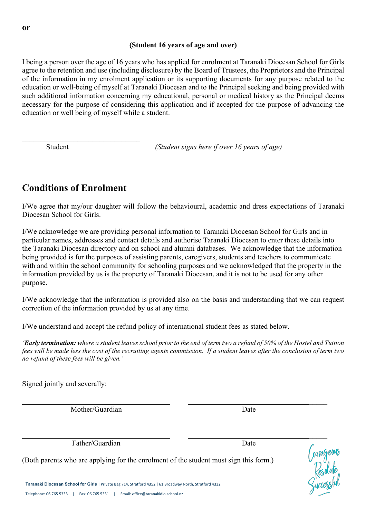#### **(Student 16 years of age and over)**

I being a person over the age of 16 years who has applied for enrolment at Taranaki Diocesan School for Girls agree to the retention and use (including disclosure) by the Board of Trustees, the Proprietors and the Principal of the information in my enrolment application or its supporting documents for any purpose related to the education or well-being of myself at Taranaki Diocesan and to the Principal seeking and being provided with such additional information concerning my educational, personal or medical history as the Principal deems necessary for the purpose of considering this application and if accepted for the purpose of advancing the education or well being of myself while a student.

**Student** *(Student signs here if over 16 years of age)* 

### **Conditions of Enrolment**

 $\mathcal{L}_\text{max}$  , where  $\mathcal{L}_\text{max}$  and  $\mathcal{L}_\text{max}$  and  $\mathcal{L}_\text{max}$ 

I/We agree that my/our daughter will follow the behavioural, academic and dress expectations of Taranaki Diocesan School for Girls.

I/We acknowledge we are providing personal information to Taranaki Diocesan School for Girls and in particular names, addresses and contact details and authorise Taranaki Diocesan to enter these details into the Taranaki Diocesan directory and on school and alumni databases. We acknowledge that the information being provided is for the purposes of assisting parents, caregivers, students and teachers to communicate with and within the school community for schooling purposes and we acknowledged that the property in the information provided by us is the property of Taranaki Diocesan, and it is not to be used for any other purpose.

I/We acknowledge that the information is provided also on the basis and understanding that we can request correction of the information provided by us at any time.

I/We understand and accept the refund policy of international student fees as stated below.

*'Early termination: where a student leaves school prior to the end of term two a refund of 50% of the Hostel and Tuition fees will be made less the cost of the recruiting agents commission. If a student leaves after the conclusion of term two no refund of these fees will be given.'*

\_\_\_\_\_

\_\_\_\_\_

Signed jointly and severally:

Mother/Guardian Date

Father/Guardian Date

(Both parents who are applying for the enrolment of the student must sign this form.)

**Taranaki Diocesan School for Girls | Private Bag 714, Stratford 4352 | 61 Broadway North, Stratford 4332** Telephone: 06 765 5333 | Fax: 06 765 5331 | Email: office@taranakidio.school.nz

Courageous<br>Resolute<br>*Queessful*